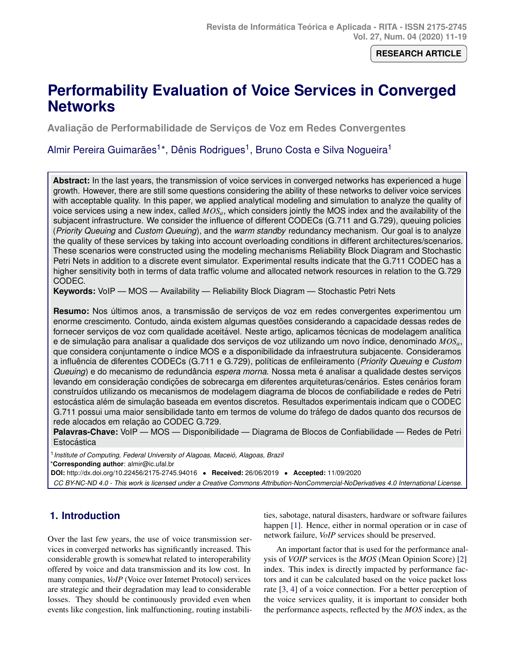# **RESEARCH ARTICLE**

# <span id="page-0-0"></span>**Performability Evaluation of Voice Services in Converged Networks**

Avaliação de Performabilidade de Serviços de Voz em Redes Convergentes

# Almir Pereira Guimarães<sup>1\*</sup>, Dênis Rodrigues<sup>1</sup>, Bruno Costa e Silva Nogueira<sup>1</sup>

**Abstract:** In the last years, the transmission of voice services in converged networks has experienced a huge growth. However, there are still some questions considering the ability of these networks to deliver voice services with acceptable quality. In this paper, we applied analytical modeling and simulation to analyze the quality of voice services using a new index, called *MOSa*, which considers jointly the MOS index and the availability of the subjacent infrastructure. We consider the influence of different CODECs (G.711 and G.729), queuing policies (*Priority Queuing* and *Custom Queuing*), and the *warm standby* redundancy mechanism. Our goal is to analyze the quality of these services by taking into account overloading conditions in different architectures/scenarios. These scenarios were constructed using the modeling mechanisms Reliability Block Diagram and Stochastic Petri Nets in addition to a discrete event simulator. Experimental results indicate that the G.711 CODEC has a higher sensitivity both in terms of data traffic volume and allocated network resources in relation to the G.729 CODEC.

**Keywords:** VoIP — MOS — Availability — Reliability Block Diagram — Stochastic Petri Nets

**Resumo:** Nos últimos anos, a transmissão de serviços de voz em redes convergentes experimentou um enorme crescimento. Contudo, ainda existem algumas questões considerando a capacidade dessas redes de fornecer serviços de voz com qualidade aceitável. Neste artigo, aplicamos técnicas de modelagem analítica e de simulação para analisar a qualidade dos serviços de voz utilizando um novo índice, denominado *MOS*<sub>*a*</sub>, que considera conjuntamente o índice MOS e a disponibilidade da infraestrutura subjacente. Consideramos a influência de diferentes CODECs (G.711 e G.729), políticas de enfileiramento (*Priority Queuing* e *Custom Queuing*) e do mecanismo de redundância *espera morna*. Nossa meta é analisar a qualidade destes serviços levando em consideração condições de sobrecarga em diferentes arquiteturas/cenários. Estes cenários foram construídos utilizando os mecanismos de modelagem diagrama de blocos de confiabilidade e redes de Petri estocástica além de simulação baseada em eventos discretos. Resultados experimentais indicam que o CODEC G.711 possui uma maior sensibilidade tanto em termos de volume do trafego de dados quanto dos recursos de ´ rede alocados em relação ao CODEC G.729.

**Palavras-Chave:** VoIP — MOS — Disponibilidade — Diagrama de Blocos de Confiabilidade — Redes de Petri **Estocástica** 

1 *Institute of Computing, Federal University of Alagoas, Maceio, Alagoas, Brazil ´* \***Corresponding author**: almir@ic.ufal.br

**DOI:** http://dx.doi.org/10.22456/2175-2745.94016 • **Received:** 26/06/2019 • **Accepted:** 11/09/2020

*CC BY-NC-ND 4.0 - This work is licensed under a Creative Commons Attribution-NonCommercial-NoDerivatives 4.0 International License.*

# **1. Introduction**

Over the last few years, the use of voice transmission services in converged networks has significantly increased. This considerable growth is somewhat related to interoperability offered by voice and data transmission and its low cost. In many companies, *VoIP* (Voice over Internet Protocol) services are strategic and their degradation may lead to considerable losses. They should be continuously provided even when events like congestion, link malfunctioning, routing instabili-

ties, sabotage, natural disasters, hardware or software failures happen [\[1\]](#page-6-0). Hence, either in normal operation or in case of network failure, *VoIP* services should be preserved.

An important factor that is used for the performance analysis of *VOIP* services is the *MOS* (Mean Opinion Score) [\[2\]](#page-6-1) index. This index is directly impacted by performance factors and it can be calculated based on the voice packet loss rate [\[3,](#page-6-2) [4\]](#page-6-3) of a voice connection. For a better perception of the voice services quality, it is important to consider both the performance aspects, reflected by the *MOS* index, as the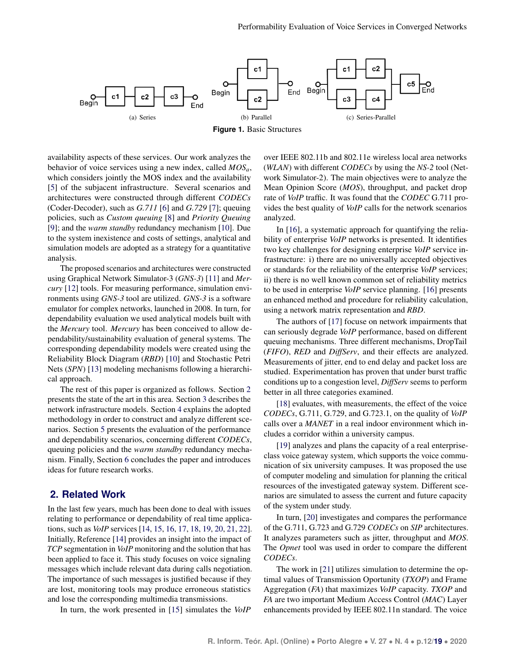<span id="page-1-2"></span><span id="page-1-1"></span>

availability aspects of these services. Our work analyzes the behavior of voice services using a new index, called *MOSa*, which considers jointly the MOS index and the availability [\[5\]](#page-6-4) of the subjacent infrastructure. Several scenarios and architectures were constructed through different *CODECs* (Coder-Decoder), such as *G.711* [\[6\]](#page-6-5) and *G.729* [\[7\]](#page-6-6); queuing policies, such as *Custom queuing* [\[8\]](#page-6-7) and *Priority Queuing* [\[9\]](#page-6-8); and the *warm standby* redundancy mechanism [\[10\]](#page-6-9). Due to the system inexistence and costs of settings, analytical and simulation models are adopted as a strategy for a quantitative analysis.

The proposed scenarios and architectures were constructed using Graphical Network Simulator-3 (*GNS-3*) [\[11\]](#page-6-10) and *Mercury* [\[12\]](#page-6-11) tools. For measuring performance, simulation environments using *GNS-3* tool are utilized. *GNS-3* is a software emulator for complex networks, launched in 2008. In turn, for dependability evaluation we used analytical models built with the *Mercury* tool. *Mercury* has been conceived to allow dependability/sustainability evaluation of general systems. The corresponding dependability models were created using the Reliability Block Diagram (*RBD*) [\[10\]](#page-6-9) and Stochastic Petri Nets (*SPN*) [\[13\]](#page-6-12) modeling mechanisms following a hierarchical approach.

The rest of this paper is organized as follows. Section [2](#page-1-0) presents the state of the art in this area. Section [3](#page-2-0) describes the network infrastructure models. Section [4](#page-3-0) explains the adopted methodology in order to construct and analyze different scenarios. Section [5](#page-3-1) presents the evaluation of the performance and dependability scenarios, concerning different *CODECs*, queuing policies and the *warm standby* redundancy mechanism. Finally, Section [6](#page-5-0) concludes the paper and introduces ideas for future research works.

# <span id="page-1-0"></span>**2. Related Work**

In the last few years, much has been done to deal with issues relating to performance or dependability of real time applications, such as *VoIP* services [\[14,](#page-6-13) [15,](#page-7-0) [16,](#page-7-1) [17,](#page-7-2) [18,](#page-7-3) [19,](#page-7-4) [20,](#page-7-5) [21,](#page-7-6) [22\]](#page-7-7). Initially, Reference [\[14\]](#page-6-13) provides an insight into the impact of *TCP* segmentation in *VoIP* monitoring and the solution that has been applied to face it. This study focuses on voice signaling messages which include relevant data during calls negotiation. The importance of such messages is justified because if they are lost, monitoring tools may produce erroneous statistics and lose the corresponding multimedia transmissions.

In turn, the work presented in [\[15\]](#page-7-0) simulates the *VoIP*

<span id="page-1-4"></span><span id="page-1-3"></span>over IEEE 802.11b and 802.11e wireless local area networks (*WLAN*) with different *CODECs* by using the *NS-2* tool (Network Simulator-2). The main objectives were to analyze the Mean Opinion Score (*MOS*), throughput, and packet drop rate of *VoIP* traffic. It was found that the *CODEC* G.711 provides the best quality of *VoIP* calls for the network scenarios analyzed.

In [\[16\]](#page-7-1), a systematic approach for quantifying the reliability of enterprise *VoIP* networks is presented. It identifies two key challenges for designing enterprise *VoIP* service infrastructure: i) there are no universally accepted objectives or standards for the reliability of the enterprise *VoIP* services; ii) there is no well known common set of reliability metrics to be used in enterprise *VoIP* service planning. [\[16\]](#page-7-1) presents an enhanced method and procedure for reliability calculation, using a network matrix representation and *RBD*.

The authors of [\[17\]](#page-7-2) focuse on network impairments that can seriously degrade *VoIP* performance, based on different queuing mechanisms. Three different mechanisms, DropTail (*FIFO*), *RED* and *DiffServ*, and their effects are analyzed. Measurements of jitter, end to end delay and packet loss are studied. Experimentation has proven that under burst traffic conditions up to a congestion level, *DiffServ* seems to perform better in all three categories examined.

[\[18\]](#page-7-3) evaluates, with measurements, the effect of the voice *CODECs*, G.711, G.729, and G.723.1, on the quality of *VoIP* calls over a *MANET* in a real indoor environment which includes a corridor within a university campus.

[\[19\]](#page-7-4) analyzes and plans the capacity of a real enterpriseclass voice gateway system, which supports the voice communication of six university campuses. It was proposed the use of computer modeling and simulation for planning the critical resources of the investigated gateway system. Different scenarios are simulated to assess the current and future capacity of the system under study.

In turn, [\[20\]](#page-7-5) investigates and compares the performance of the G.711, G.723 and G.729 *CODECs* on *SIP* architectures. It analyzes parameters such as jitter, throughput and *MOS*. The *Opnet* tool was used in order to compare the different *CODECs*.

The work in [\[21\]](#page-7-6) utilizes simulation to determine the optimal values of Transmission Oportunity (*TXOP*) and Frame Aggregation (*FA*) that maximizes *VoIP* capacity. *TXOP* and *FA* are two important Medium Access Control (*MAC*) Layer enhancements provided by IEEE 802.11n standard. The voice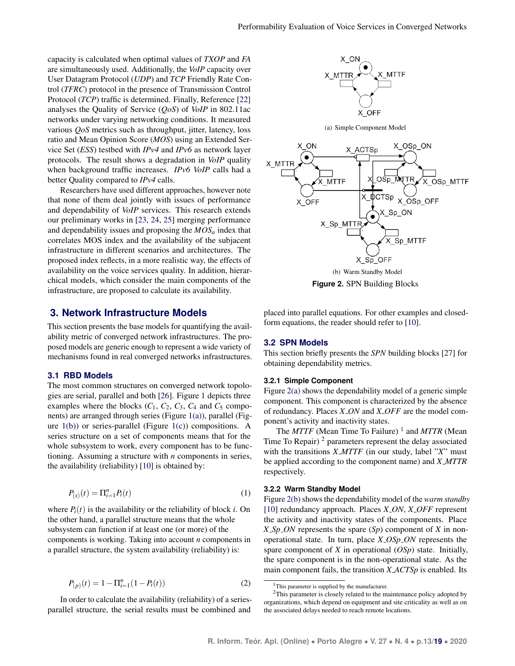capacity is calculated when optimal values of *TXOP* and *FA* are simultaneously used. Additionally, the *VoIP* capacity over User Datagram Protocol (*UDP*) and *TCP* Friendly Rate Control (*TFRC*) protocol in the presence of Transmission Control Protocol (*TCP*) traffic is determined. Finally, Reference [\[22\]](#page-7-7) analyses the Quality of Service (*QoS*) of *VoIP* in 802.11ac networks under varying networking conditions. It measured various *QoS* metrics such as throughput, jitter, latency, loss ratio and Mean Opinion Score (*MOS*) using an Extended Service Set (*ESS*) testbed with *IPv4* and *IPv6* as network layer protocols. The result shows a degradation in *VoIP* quality when background traffic increases. *IPv6 VoIP* calls had a better Quality compared to *IPv4* calls.

Researchers have used different approaches, however note that none of them deal jointly with issues of performance and dependability of *VoIP* services. This research extends our preliminary works in [\[23,](#page-7-8) [24,](#page-7-9) [25\]](#page-7-10) merging performance and dependability issues and proposing the *MOS<sup>a</sup>* index that correlates MOS index and the availability of the subjacent infrastructure in different scenarios and architectures. The proposed index reflects, in a more realistic way, the effects of availability on the voice services quality. In addition, hierarchical models, which consider the main components of the infrastructure, are proposed to calculate its availability.

## <span id="page-2-0"></span>**3. Network Infrastructure Models**

This section presents the base models for quantifying the availability metric of converged network infrastructures. The proposed models are generic enough to represent a wide variety of mechanisms found in real converged networks infrastructures.

### **3.1 RBD Models**

The most common structures on converged network topologies are serial, parallel and both [\[26\]](#page-8-1). Figure [1](#page-1-1) depicts three examples where the blocks  $(C_1, C_2, C_3, C_4$  and  $C_5$  components) are arranged through series (Figure [1\(a\)\)](#page-1-2), parallel (Figure  $1(b)$ ) or series-parallel (Figure  $1(c)$ ) compositions. A series structure on a set of components means that for the whole subsystem to work, every component has to be functioning. Assuming a structure with *n* components in series, the availability (reliability) [\[10\]](#page-6-9) is obtained by:

$$
P_{(s)}(t) = \Pi_{i=1}^{n} P_i(t)
$$
\n(1)

where  $P_i(t)$  is the availability or the reliability of block *i*. On the other hand, a parallel structure means that the whole subsystem can function if at least one (or more) of the components is working. Taking into account *n* components in a parallel structure, the system availability (reliability) is:

$$
P_{(p)}(t) = 1 - \Pi_{i=1}^{n} (1 - P_i(t))
$$
\n(2)

In order to calculate the availability (reliability) of a seriesparallel structure, the serial results must be combined and

<span id="page-2-1"></span>

<span id="page-2-2"></span>**Figure 2.** SPN Building Blocks

placed into parallel equations. For other examples and closedform equations, the reader should refer to [\[10\]](#page-6-9).

### **3.2 SPN Models**

This section briefly presents the *SPN* building blocks [\[27\]](#page-8-2) for obtaining dependability metrics.

#### **3.2.1 Simple Component**

Figure [2\(a\)](#page-2-1) shows the dependability model of a generic simple component. This component is characterized by the absence of redundancy. Places *X ON* and *X OFF* are the model component's activity and inactivity states.

The *MTTF* (Mean Time To Failure) <sup>[1](#page-0-0)</sup> and *MTTR* (Mean Time To Repair)<sup>[2](#page-0-0)</sup> parameters represent the delay associated with the transitions *X MTTF* (in our study, label "*X*" must be applied according to the component name) and *X MTTR* respectively.

#### **3.2.2 Warm Standby Model**

Figure [2\(b\)](#page-2-2) shows the dependability model of the *warm standby* [\[10\]](#page-6-9) redundancy approach. Places *X ON*, *X OFF* represent the activity and inactivity states of the components. Place *X Sp ON* represents the spare (*Sp*) component of *X* in nonoperational state. In turn, place *X OSp ON* represents the spare component of *X* in operational (*OSp*) state. Initially, the spare component is in the non-operational state. As the main component fails, the transition *X ACTSp* is enabled. Its

<sup>&</sup>lt;sup>1</sup>This parameter is supplied by the manufacturer.

<sup>&</sup>lt;sup>2</sup>This parameter is closely related to the maintenance policy adopted by organizations, which depend on equipment and site criticality as well as on the associated delays needed to reach remote locations.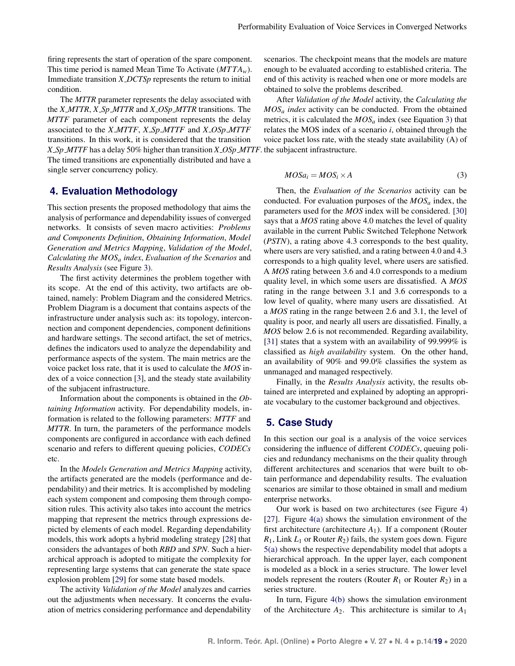firing represents the start of operation of the spare component. This time period is named Mean Time To Activate (*MT TAw*). Immediate transition *X DCTSp* represents the return to initial condition.

The *MTTR* parameter represents the delay associated with the *X MTTR*, *X Sp MTTR* and *X OSp MTTR* transitions. The *MTTF* parameter of each component represents the delay associated to the *X MTTF*, *X Sp MTTF* and *X OSp MTTF* transitions. In this work, it is considered that the transition *X Sp MTTF* has a delay 50% higher than transition *X OSp MTTF*. the subjacent infrastructure. The timed transitions are exponentially distributed and have a single server concurrency policy.

# <span id="page-3-0"></span>**4. Evaluation Methodology**

This section presents the proposed methodology that aims the analysis of performance and dependability issues of converged networks. It consists of seven macro activities: *Problems and Components Definition*, *Obtaining Information*, *Model Generation and Metrics Mapping*, *Validation of the Model*, *Calculating the MOS<sup>a</sup> index*, *Evaluation of the Scenarios* and *Results Analysis* (see Figure [3\)](#page-4-0).

The first activity determines the problem together with its scope. At the end of this activity, two artifacts are obtained, namely: Problem Diagram and the considered Metrics. Problem Diagram is a document that contains aspects of the infrastructure under analysis such as: its topology, interconnection and component dependencies, component definitions and hardware settings. The second artifact, the set of metrics, defines the indicators used to analyze the dependability and performance aspects of the system. The main metrics are the voice packet loss rate, that it is used to calculate the *MOS* index of a voice connection [\[3\]](#page-6-2), and the steady state availability of the subjacent infrastructure.

Information about the components is obtained in the *Obtaining Information* activity. For dependability models, information is related to the following parameters: *MTTF* and *MTTR*. In turn, the parameters of the performance models components are configured in accordance with each defined scenario and refers to different queuing policies, *CODECs* etc.

In the *Models Generation and Metrics Mapping* activity, the artifacts generated are the models (performance and dependability) and their metrics. It is accomplished by modeling each system component and composing them through composition rules. This activity also takes into account the metrics mapping that represent the metrics through expressions depicted by elements of each model. Regarding dependability models, this work adopts a hybrid modeling strategy [\[28\]](#page-8-3) that considers the advantages of both *RBD* and *SPN*. Such a hierarchical approach is adopted to mitigate the complexity for representing large systems that can generate the state space explosion problem [\[29\]](#page-8-4) for some state based models.

The activity *Validation of the Model* analyzes and carries out the adjustments when necessary. It concerns the evaluation of metrics considering performance and dependability

scenarios. The checkpoint means that the models are mature enough to be evaluated according to established criteria. The end of this activity is reached when one or more models are obtained to solve the problems described.

After *Validation of the Model* activity, the *Calculating the MOS<sup>a</sup> index* activity can be conducted. From the obtained metrics, it is calculated the *MOS<sup>a</sup>* index (see Equation [3\)](#page-3-2) that relates the MOS index of a scenario *i*, obtained through the voice packet loss rate, with the steady state availability (A) of

<span id="page-3-2"></span>
$$
MOSa_i = MOS_i \times A \tag{3}
$$

Then, the *Evaluation of the Scenarios* activity can be conducted. For evaluation purposes of the *MOS<sup>a</sup>* index, the parameters used for the *MOS* index will be considered. [\[30\]](#page-8-5) says that a *MOS* rating above 4.0 matches the level of quality available in the current Public Switched Telephone Network (*PSTN*), a rating above 4.3 corresponds to the best quality, where users are very satisfied, and a rating between 4.0 and 4.3 corresponds to a high quality level, where users are satisfied. A *MOS* rating between 3.6 and 4.0 corresponds to a medium quality level, in which some users are dissatisfied. A *MOS* rating in the range between 3.1 and 3.6 corresponds to a low level of quality, where many users are dissatisfied. At a *MOS* rating in the range between 2.6 and 3.1, the level of quality is poor, and nearly all users are dissatisfied. Finally, a *MOS* below 2.6 is not recommended. Regarding availability, [\[31\]](#page-8-6) states that a system with an availability of 99.999% is classified as *high availability* system. On the other hand, an availability of 90% and 99.0% classifies the system as unmanaged and managed respectively.

Finally, in the *Results Analysis* activity, the results obtained are interpreted and explained by adopting an appropriate vocabulary to the customer background and objectives.

# <span id="page-3-1"></span>**5. Case Study**

In this section our goal is a analysis of the voice services considering the influence of different *CODECs*, queuing policies and redundancy mechanisms on the their quality through different architectures and scenarios that were built to obtain performance and dependability results. The evaluation scenarios are similar to those obtained in small and medium enterprise networks.

Our work is based on two architectures (see Figure [4\)](#page-5-1) [\[27\]](#page-8-2). Figure [4\(a\)](#page-5-2) shows the simulation environment of the first architecture (architecture *A*1). If a component (Router  $R_1$ , Link  $L_1$  or Router  $R_2$ ) fails, the system goes down. Figure [5\(a\)](#page-6-14) shows the respective dependability model that adopts a hierarchical approach. In the upper layer, each component is modeled as a block in a series structure. The lower level models represent the routers (Router  $R_1$  or Router  $R_2$ ) in a series structure.

In turn, Figure [4\(b\)](#page-5-3) shows the simulation environment of the Architecture  $A_2$ . This architecture is similar to  $A_1$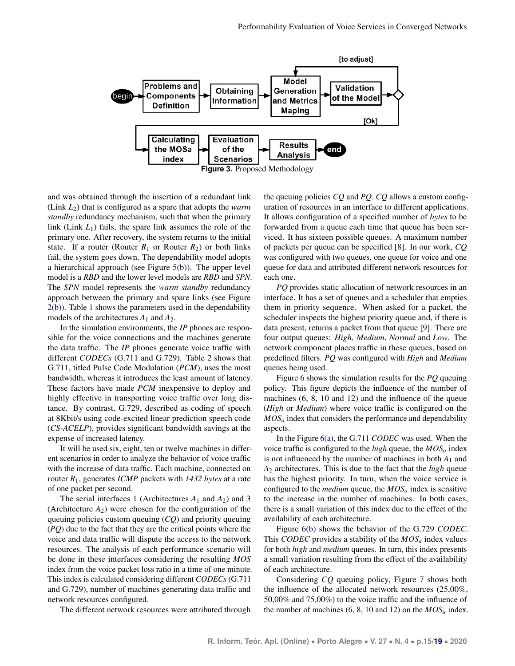<span id="page-4-0"></span>

and was obtained through the insertion of a redundant link (Link *L*2) that is configured as a spare that adopts the *warm standby* redundancy mechanism, such that when the primary link (Link *L*1) fails, the spare link assumes the role of the primary one. After recovery, the system returns to the initial state. If a router (Router  $R_1$  or Router  $R_2$ ) or both links fail, the system goes down. The dependability model adopts a hierarchical approach (see Figure [5\(b\)\)](#page-6-15). The upper level model is a *RBD* and the lower level models are *RBD* and *SPN*. The *SPN* model represents the *warm standby* redundancy approach between the primary and spare links (see Figure [2\(b\)\)](#page-2-2). Table [1](#page-5-4) shows the parameters used in the dependability models of the architectures *A*<sup>1</sup> and *A*2.

In the simulation environments, the *IP* phones are responsible for the voice connections and the machines generate the data traffic. The *IP* phones generate voice traffic with different *CODECs* (G.711 and G.729). Table [2](#page-5-5) shows that G.711, titled Pulse Code Modulation (*PCM*), uses the most bandwidth, whereas it introduces the least amount of latency. These factors have made *PCM* inexpensive to deploy and highly effective in transporting voice traffic over long distance. By contrast, G.729, described as coding of speech at 8Kbit/s using code-excited linear prediction speech code (*CS-ACELP*), provides significant bandwidth savings at the expense of increased latency.

It will be used six, eight, ten or twelve machines in different scenarios in order to analyze the behavior of voice traffic with the increase of data traffic. Each machine, connected on router *R*1, generates *ICMP* packets with *1432 bytes* at a rate of one packet per second.

The serial interfaces 1 (Architectures  $A_1$  and  $A_2$ ) and 3 (Architecture  $A_2$ ) were chosen for the configuration of the queuing policies custom queuing (*CQ*) and priority queuing (*PQ*) due to the fact that they are the critical points where the voice and data traffic will dispute the access to the network resources. The analysis of each performance scenario will be done in these interfaces considering the resulting *MOS* index from the voice packet loss ratio in a time of one minute. This index is calculated considering different *CODECs* (G.711 and G.729), number of machines generating data traffic and network resources configured.

The different network resources were attributed through

the queuing policies *CQ* and *PQ*. *CQ* allows a custom configuration of resources in an interface to different applications. It allows configuration of a specified number of *bytes* to be forwarded from a queue each time that queue has been serviced. It has sixteen possible queues. A maximum number of packets per queue can be specified [\[8\]](#page-6-7). In our work, *CQ* was configured with two queues, one queue for voice and one queue for data and attributed different network resources for each one.

*PQ* provides static allocation of network resources in an interface. It has a set of queues and a scheduler that empties them in priority sequence. When asked for a packet, the scheduler inspects the highest priority queue and, if there is data present, returns a packet from that queue [\[9\]](#page-6-8). There are four output queues: *High*, *Medium*, *Normal* and *Low*. The network component places traffic in these queues, based on predefined filters. *PQ* was configured with *High* and *Medium* queues being used.

Figure [6](#page-7-11) shows the simulation results for the *PQ* queuing policy. This figure depicts the influence of the number of machines (6, 8, 10 and 12) and the influence of the queue (*High* or *Medium*) where voice traffic is configured on the *MOS<sup>a</sup>* index that considers the performance and dependability aspects.

In the Figure [6\(a\),](#page-7-12) the G.711 *CODEC* was used. When the voice traffic is configured to the *high* queue, the *MOS<sup>a</sup>* index is not influenced by the number of machines in both *A*<sup>1</sup> and *A*<sup>2</sup> architectures. This is due to the fact that the *high* queue has the highest priority. In turn, when the voice service is configured to the *medium* queue, the  $MOS_a$  index is sensitive to the increase in the number of machines. In both cases, there is a small variation of this index due to the effect of the availability of each architecture.

Figure [6\(b\)](#page-7-13) shows the behavior of the G.729 *CODEC*. This *CODEC* provides a stability of the *MOS<sup>a</sup>* index values for both *high* and *medium* queues. In turn, this index presents a small variation resulting from the effect of the availability of each architecture.

Considering *CQ* queuing policy, Figure [7](#page-8-7) shows both the influence of the allocated network resources (25,00%, 50,00% and 75,00%) to the voice traffic and the influence of the number of machines (6, 8, 10 and 12) on the *MOS<sup>a</sup>* index.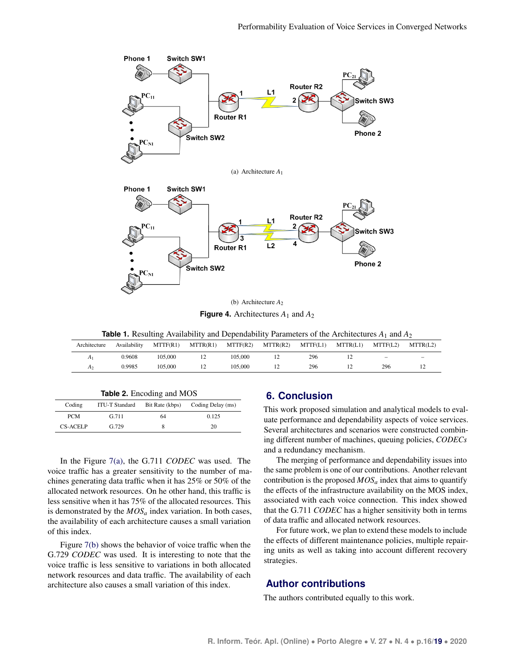<span id="page-5-2"></span><span id="page-5-1"></span>

**Figure 4.** Architectures  $A_1$  and  $A_2$ 

<span id="page-5-3"></span>

| <b>Table 1.</b> Resulting Availability and Dependability Parameters of the Architectures $A_1$ and $A_2$ |  |
|----------------------------------------------------------------------------------------------------------|--|
|----------------------------------------------------------------------------------------------------------|--|

<span id="page-5-4"></span>

| Architecture   | Availability | MTTF(R1) | MTTR(R1)       | MTTF(R2) | MTTR(R2)       | MTTF(L1) | MTTR(L1) | MTTF(L2)                 | MTTR(L2) |
|----------------|--------------|----------|----------------|----------|----------------|----------|----------|--------------------------|----------|
| A٠             | 0.9608       | 105.000  |                | 105.000  |                | 296      |          | $\overline{\phantom{a}}$ | $-$      |
| A <sub>2</sub> | 0.9985       | 105.000  | $\overline{ }$ | 105.000  | $\overline{ }$ | 296      | . .      | 296                      |          |

<span id="page-5-5"></span>

| <b>Table 2.</b> Encoding and MOS |                       |                 |                   |  |  |
|----------------------------------|-----------------------|-----------------|-------------------|--|--|
| Coding                           | <b>ITU-T Standard</b> | Bit Rate (kbps) | Coding Delay (ms) |  |  |
| <b>PCM</b>                       | G.711                 | 64              | 0.125             |  |  |
| <b>CS-ACELP</b>                  | G.729                 |                 | 20                |  |  |

In the Figure [7\(a\),](#page-8-8) the G.711 *CODEC* was used. The voice traffic has a greater sensitivity to the number of machines generating data traffic when it has 25% or 50% of the allocated network resources. On he other hand, this traffic is less sensitive when it has 75% of the allocated resources. This is demonstrated by the *MOS<sup>a</sup>* index variation. In both cases, the availability of each architecture causes a small variation of this index.

<span id="page-5-0"></span>Figure [7\(b\)](#page-8-9) shows the behavior of voice traffic when the G.729 *CODEC* was used. It is interesting to note that the voice traffic is less sensitive to variations in both allocated network resources and data traffic. The availability of each architecture also causes a small variation of this index.

# **6. Conclusion**

This work proposed simulation and analytical models to evaluate performance and dependability aspects of voice services. Several architectures and scenarios were constructed combining different number of machines, queuing policies, *CODECs* and a redundancy mechanism.

The merging of performance and dependability issues into the same problem is one of our contributions. Another relevant contribution is the proposed  $MOS_a$  index that aims to quantify the effects of the infrastructure availability on the MOS index, associated with each voice connection. This index showed that the G.711 *CODEC* has a higher sensitivity both in terms of data traffic and allocated network resources.

For future work, we plan to extend these models to include the effects of different maintenance policies, multiple repairing units as well as taking into account different recovery strategies.

# **Author contributions**

The authors contributed equally to this work.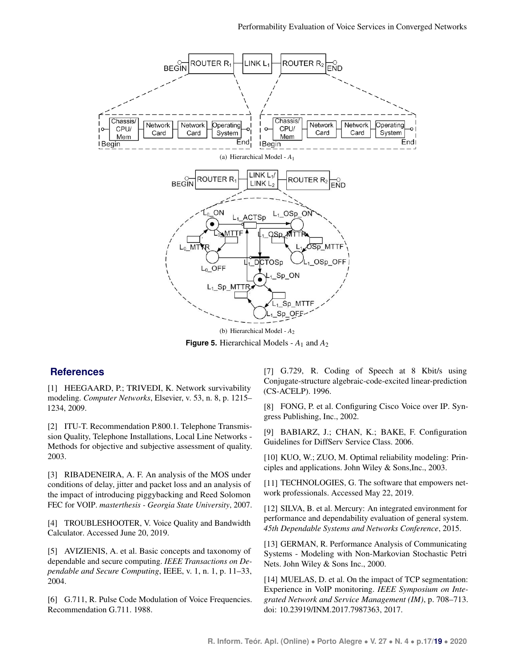<span id="page-6-14"></span>

<span id="page-6-15"></span>**Figure 5.** Hierarchical Models - *A*<sup>1</sup> and *A*<sup>2</sup>

# **References**

<span id="page-6-0"></span>[1] HEEGAARD, P.; TRIVEDI, K. Network survivability modeling. *Computer Networks*, Elsevier, v. 53, n. 8, p. 1215– 1234, 2009.

<span id="page-6-1"></span>[2] ITU-T. Recommendation P.800.1. Telephone Transmission Quality, Telephone Installations, Local Line Networks - Methods for objective and subjective assessment of quality. 2003.

<span id="page-6-2"></span>[3] RIBADENEIRA, A. F. An analysis of the MOS under conditions of delay, jitter and packet loss and an analysis of the impact of introducing piggybacking and Reed Solomon FEC for VOIP. *masterthesis - Georgia State University*, 2007.

<span id="page-6-3"></span>[4] TROUBLESHOOTER, V. Voice Quality and Bandwidth Calculator. Accessed June 20, 2019.

<span id="page-6-4"></span>[5] AVIZIENIS, A. et al. Basic concepts and taxonomy of dependable and secure computing. *IEEE Transactions on Dependable and Secure Computing*, IEEE, v. 1, n. 1, p. 11–33, 2004.

<span id="page-6-5"></span>[6] G.711, R. Pulse Code Modulation of Voice Frequencies. Recommendation G.711. 1988.

<span id="page-6-6"></span>[7] G.729, R. Coding of Speech at 8 Kbit/s using Conjugate-structure algebraic-code-excited linear-prediction (CS-ACELP). 1996.

<span id="page-6-7"></span>[8] FONG, P. et al. Configuring Cisco Voice over IP. Syngress Publishing, Inc., 2002.

<span id="page-6-8"></span>[9] BABIARZ, J.; CHAN, K.; BAKE, F. Configuration Guidelines for DiffServ Service Class. 2006.

<span id="page-6-9"></span>[10] KUO, W.; ZUO, M. Optimal reliability modeling: Principles and applications. John Wiley & Sons,Inc., 2003.

<span id="page-6-10"></span>[11] TECHNOLOGIES, G. The software that empowers network professionals. Accessed May 22, 2019.

<span id="page-6-11"></span>[12] SILVA, B. et al. Mercury: An integrated environment for performance and dependability evaluation of general system. *45th Dependable Systems and Networks Conference*, 2015.

<span id="page-6-12"></span>[13] GERMAN, R. Performance Analysis of Communicating Systems - Modeling with Non-Markovian Stochastic Petri Nets. John Wiley & Sons Inc., 2000.

<span id="page-6-13"></span>[14] MUELAS, D. et al. On the impact of TCP segmentation: Experience in VoIP monitoring. *IEEE Symposium on Integrated Network and Service Management (IM)*, p. 708–713. doi: 10.23919/INM.2017.7987363, 2017.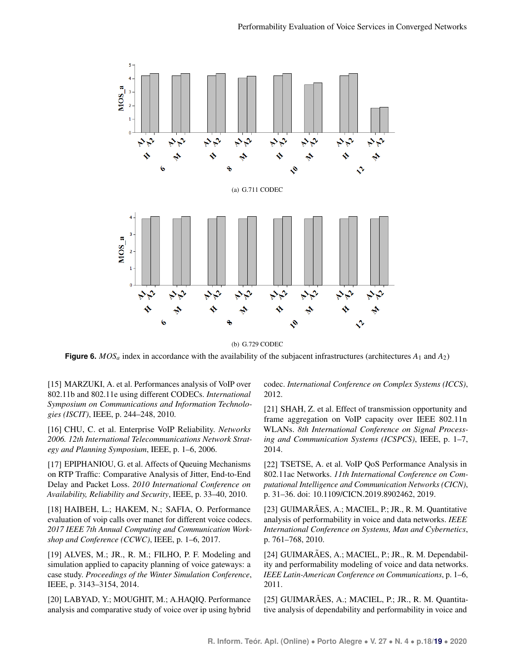<span id="page-7-12"></span><span id="page-7-11"></span>

(b) G.729 CODEC

<span id="page-7-13"></span>**Figure 6.** *MOS<sub>a</sub>* index in accordance with the availability of the subjacent infrastructures (architectures  $A_1$  and  $A_2$ )

<span id="page-7-0"></span>[15] MARZUKI, A. et al. Performances analysis of VoIP over 802.11b and 802.11e using different CODECs. *International Symposium on Communications and Information Technologies (ISCIT)*, IEEE, p. 244–248, 2010.

<span id="page-7-1"></span>[16] CHU, C. et al. Enterprise VoIP Reliability. *Networks 2006. 12th International Telecommunications Network Strategy and Planning Symposium*, IEEE, p. 1–6, 2006.

<span id="page-7-2"></span>[17] EPIPHANIOU, G. et al. Affects of Queuing Mechanisms on RTP Traffic: Comparative Analysis of Jitter, End-to-End Delay and Packet Loss. *2010 International Conference on Availability, Reliability and Security*, IEEE, p. 33–40, 2010.

<span id="page-7-3"></span>[18] HAIBEH, L.; HAKEM, N.; SAFIA, O. Performance evaluation of voip calls over manet for different voice codecs. *2017 IEEE 7th Annual Computing and Communication Workshop and Conference (CCWC)*, IEEE, p. 1–6, 2017.

<span id="page-7-4"></span>[19] ALVES, M.; JR., R. M.; FILHO, P. F. Modeling and simulation applied to capacity planning of voice gateways: a case study. *Proceedings of the Winter Simulation Conference*, IEEE, p. 3143–3154, 2014.

<span id="page-7-5"></span>[20] LABYAD, Y.; MOUGHIT, M.; A.HAQIQ. Performance analysis and comparative study of voice over ip using hybrid

codec. *International Conference on Complex Systems (ICCS)*, 2012.

<span id="page-7-6"></span>[21] SHAH, Z. et al. Effect of transmission opportunity and frame aggregation on VoIP capacity over IEEE 802.11n WLANs. *8th International Conference on Signal Processing and Communication Systems (ICSPCS)*, IEEE, p. 1–7, 2014.

<span id="page-7-7"></span>[22] TSETSE, A. et al. VoIP QoS Performance Analysis in 802.11ac Networks. *11th International Conference on Computational Intelligence and Communication Networks (CICN)*, p. 31–36. doi: 10.1109/CICN.2019.8902462, 2019.

<span id="page-7-8"></span>[23] GUIMARÃES, A.; MACIEL, P.; JR., R. M. Quantitative analysis of performability in voice and data networks. *IEEE International Conference on Systems, Man and Cybernetics*, p. 761–768, 2010.

<span id="page-7-9"></span>[24] GUIMARÃES, A.; MACIEL, P.; JR., R. M. Dependability and performability modeling of voice and data networks. *IEEE Latin-American Conference on Communications*, p. 1–6, 2011.

<span id="page-7-10"></span>[25] GUIMARÃES, A.; MACIEL, P.; JR., R. M. Quantitative analysis of dependability and performability in voice and